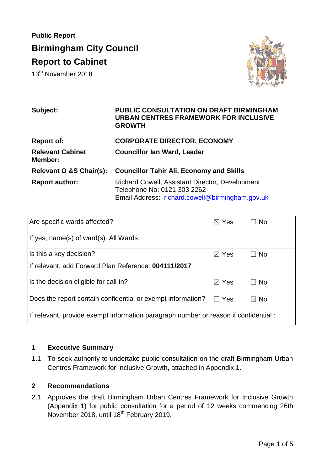# **Public Report Birmingham City Council Report to Cabinet**

13<sup>th</sup> November 2018



| Subject:                           | <b>PUBLIC CONSULTATION ON DRAFT BIRMINGHAM</b><br><b>URBAN CENTRES FRAMEWORK FOR INCLUSIVE</b><br><b>GROWTH</b>                          |
|------------------------------------|------------------------------------------------------------------------------------------------------------------------------------------|
| <b>Report of:</b>                  | <b>CORPORATE DIRECTOR, ECONOMY</b>                                                                                                       |
| <b>Relevant Cabinet</b><br>Member: | <b>Councillor Ian Ward, Leader</b>                                                                                                       |
| Relevant O &S Chair(s):            | <b>Councillor Tahir Ali, Economy and Skills</b>                                                                                          |
| <b>Report author:</b>              | <b>Richard Cowell, Assistant Director, Development</b><br>Telephone No: 0121 303 2262<br>Email Address: richard.cowell@birmingham.gov.uk |

| Are specific wards affected?                                                         | $\boxtimes$ Yes | <b>No</b>      |  |
|--------------------------------------------------------------------------------------|-----------------|----------------|--|
| If yes, name(s) of ward(s): All Wards                                                |                 |                |  |
| Is this a key decision?                                                              | $\boxtimes$ Yes | No.            |  |
| If relevant, add Forward Plan Reference: 004111/2017                                 |                 |                |  |
| Is the decision eligible for call-in?                                                | $\boxtimes$ Yes | $\Box$ No      |  |
| Does the report contain confidential or exempt information?                          | $\Box$ Yes      | $\boxtimes$ No |  |
| If relevant, provide exempt information paragraph number or reason if confidential : |                 |                |  |

#### **1 Executive Summary**

1.1 To seek authority to undertake public consultation on the draft Birmingham Urban Centres Framework for Inclusive Growth, attached in Appendix 1.

#### **2 Recommendations**

2.1 Approves the draft Birmingham Urban Centres Framework for Inclusive Growth (Appendix 1) for public consultation for a period of 12 weeks commencing 26th November 2018, until 18<sup>th</sup> February 2019.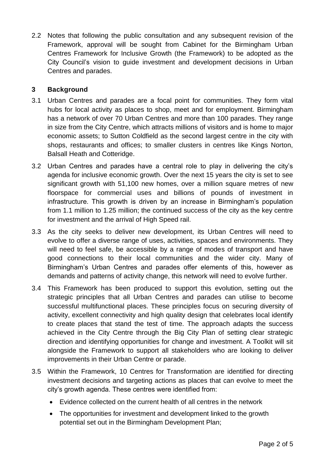2.2 Notes that following the public consultation and any subsequent revision of the Framework, approval will be sought from Cabinet for the Birmingham Urban Centres Framework for Inclusive Growth (the Framework) to be adopted as the City Council's vision to guide investment and development decisions in Urban Centres and parades.

# **3 Background**

- 3.1 Urban Centres and parades are a focal point for communities. They form vital hubs for local activity as places to shop, meet and for employment. Birmingham has a network of over 70 Urban Centres and more than 100 parades. They range in size from the City Centre, which attracts millions of visitors and is home to major economic assets; to Sutton Coldfield as the second largest centre in the city with shops, restaurants and offices; to smaller clusters in centres like Kings Norton, Balsall Heath and Cotteridge.
- 3.2 Urban Centres and parades have a central role to play in delivering the city's agenda for inclusive economic growth. Over the next 15 years the city is set to see significant growth with 51,100 new homes, over a million square metres of new floorspace for commercial uses and billions of pounds of investment in infrastructure. This growth is driven by an increase in Birmingham's population from 1.1 million to 1.25 million; the continued success of the city as the key centre for investment and the arrival of High Speed rail.
- 3.3 As the city seeks to deliver new development, its Urban Centres will need to evolve to offer a diverse range of uses, activities, spaces and environments. They will need to feel safe, be accessible by a range of modes of transport and have good connections to their local communities and the wider city. Many of Birmingham's Urban Centres and parades offer elements of this, however as demands and patterns of activity change, this network will need to evolve further.
- 3.4 This Framework has been produced to support this evolution, setting out the strategic principles that all Urban Centres and parades can utilise to become successful multifunctional places. These principles focus on securing diversity of activity, excellent connectivity and high quality design that celebrates local identify to create places that stand the test of time. The approach adapts the success achieved in the City Centre through the Big City Plan of setting clear strategic direction and identifying opportunities for change and investment. A Toolkit will sit alongside the Framework to support all stakeholders who are looking to deliver improvements in their Urban Centre or parade.
- 3.5 Within the Framework, 10 Centres for Transformation are identified for directing investment decisions and targeting actions as places that can evolve to meet the city's growth agenda. These centres were identified from:
	- Evidence collected on the current health of all centres in the network
	- The opportunities for investment and development linked to the growth potential set out in the Birmingham Development Plan;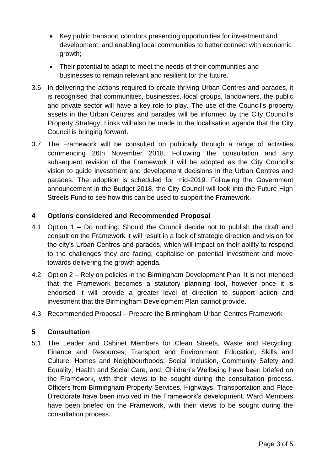- Key public transport corridors presenting opportunities for investment and development, and enabling local communities to better connect with economic growth;
- Their potential to adapt to meet the needs of their communities and businesses to remain relevant and resilient for the future.
- 3.6 In delivering the actions required to create thriving Urban Centres and parades, it is recognised that communities, businesses, local groups, landowners, the public and private sector will have a key role to play. The use of the Council's property assets in the Urban Centres and parades will be informed by the City Council's Property Strategy. Links will also be made to the localisation agenda that the City Council is bringing forward.
- 3.7 The Framework will be consulted on publically through a range of activities commencing 26th November 2018. Following the consultation and any subsequent revision of the Framework it will be adopted as the City Council's vision to guide investment and development decisions in the Urban Centres and parades. The adoption is scheduled for mid-2019. Following the Government announcement in the Budget 2018, the City Council will look into the Future High Streets Fund to see how this can be used to support the Framework.

# **4 Options considered and Recommended Proposal**

- 4.1 Option 1 Do nothing. Should the Council decide not to publish the draft and consult on the Framework it will result in a lack of strategic direction and vision for the city's Urban Centres and parades, which will impact on their ability to respond to the challenges they are facing, capitalise on potential investment and move towards delivering the growth agenda.
- 4.2 Option 2 Rely on policies in the Birmingham Development Plan. It is not intended that the Framework becomes a statutory planning tool, however once it is endorsed it will provide a greater level of direction to support action and investment that the Birmingham Development Plan cannot provide.
- 4.3 Recommended Proposal Prepare the Birmingham Urban Centres Framework

### **5 Consultation**

5.1 The Leader and Cabinet Members for Clean Streets, Waste and Recycling; Finance and Resources; Transport and Environment; Education, Skills and Culture; Homes and Neighbourhoods; Social Inclusion, Community Safety and Equality; Health and Social Care, and; Children's Wellbeing have been briefed on the Framework, with their views to be sought during the consultation process. Officers from Birmingham Property Services, Highways, Transportation and Place Directorate have been involved in the Framework's development. Ward Members have been briefed on the Framework, with their views to be sought during the consultation process.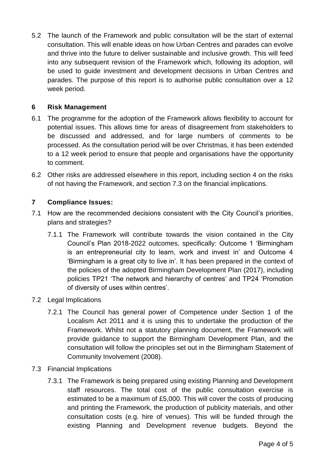5.2 The launch of the Framework and public consultation will be the start of external consultation. This will enable ideas on how Urban Centres and parades can evolve and thrive into the future to deliver sustainable and inclusive growth. This will feed into any subsequent revision of the Framework which, following its adoption, will be used to guide investment and development decisions in Urban Centres and parades. The purpose of this report is to authorise public consultation over a 12 week period.

## **6 Risk Management**

- 6.1 The programme for the adoption of the Framework allows flexibility to account for potential issues. This allows time for areas of disagreement from stakeholders to be discussed and addressed, and for large numbers of comments to be processed. As the consultation period will be over Christmas, it has been extended to a 12 week period to ensure that people and organisations have the opportunity to comment.
- 6.2 Other risks are addressed elsewhere in this report, including section 4 on the risks of not having the Framework, and section 7.3 on the financial implications.

# **7 Compliance Issues:**

- 7.1 How are the recommended decisions consistent with the City Council's priorities, plans and strategies?
	- 7.1.1 The Framework will contribute towards the vision contained in the City Council's Plan 2018-2022 outcomes, specifically: Outcome 1 'Birmingham is an entrepreneurial city to learn, work and invest in' and Outcome 4 'Birmingham is a great city to live in'. It has been prepared in the context of the policies of the adopted Birmingham Development Plan (2017), including policies TP21 'The network and hierarchy of centres' and TP24 'Promotion of diversity of uses within centres'.
- 7.2 Legal Implications
	- 7.2.1 The Council has general power of Competence under Section 1 of the Localism Act 2011 and it is using this to undertake the production of the Framework. Whilst not a statutory planning document, the Framework will provide guidance to support the Birmingham Development Plan, and the consultation will follow the principles set out in the Birmingham Statement of Community Involvement (2008).
- 7.3 Financial Implications
	- 7.3.1 The Framework is being prepared using existing Planning and Development staff resources. The total cost of the public consultation exercise is estimated to be a maximum of £5,000. This will cover the costs of producing and printing the Framework, the production of publicity materials, and other consultation costs (e.g. hire of venues). This will be funded through the existing Planning and Development revenue budgets. Beyond the